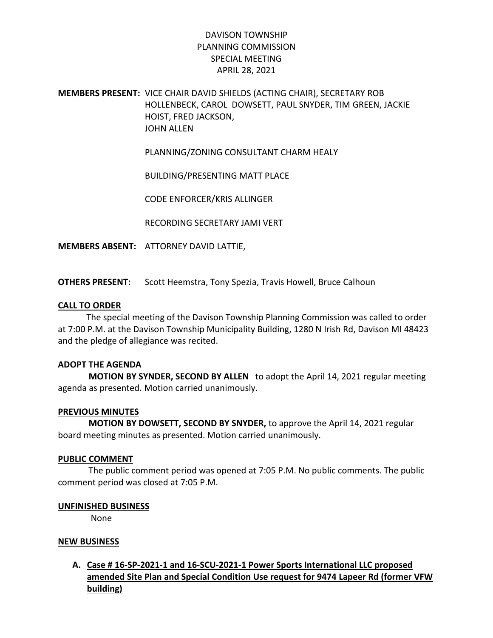# DAVISON TOWNSHIP PLANNING COMMISSION SPECIAL MEETING APRIL 28, 2021

## MEMBERS PRESENT: VICE CHAIR DAVID SHIELDS (ACTING CHAIR), SECRETARY ROB HOLLENBECK, CAROL DOWSETT, PAUL SNYDER, TIM GREEN, JACKIE HOIST, FRED JACKSON, JOHN ALLEN

PLANNING/ZONING CONSULTANT CHARM HEALY

BUILDING/PRESENTING MATT PLACE

CODE ENFORCER/KRIS ALLINGER

RECORDING SECRETARY JAMI VERT

MEMBERS ABSENT: ATTORNEY DAVID LATTIE,

OTHERS PRESENT: Scott Heemstra, Tony Spezia, Travis Howell, Bruce Calhoun

### CALL TO ORDER

 The special meeting of the Davison Township Planning Commission was called to order at 7:00 P.M. at the Davison Township Municipality Building, 1280 N Irish Rd, Davison MI 48423 and the pledge of allegiance was recited.

### ADOPT THE AGENDA

 MOTION BY SYNDER, SECOND BY ALLEN to adopt the April 14, 2021 regular meeting agenda as presented. Motion carried unanimously.

### PREVIOUS MINUTES

 MOTION BY DOWSETT, SECOND BY SNYDER, to approve the April 14, 2021 regular board meeting minutes as presented. Motion carried unanimously.

#### PUBLIC COMMENT

 The public comment period was opened at 7:05 P.M. No public comments. The public comment period was closed at 7:05 P.M.

### UNFINISHED BUSINESS

None

### NEW BUSINESS

# A. Case # 16-SP-2021-1 and 16-SCU-2021-1 Power Sports International LLC proposed amended Site Plan and Special Condition Use request for 9474 Lapeer Rd (former VFW building)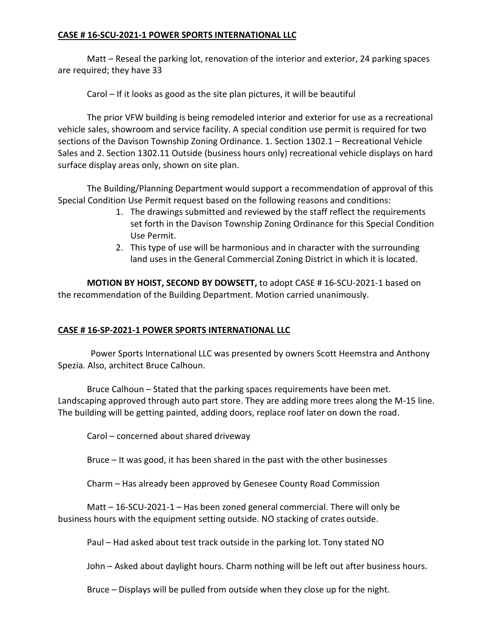## CASE # 16-SCU-2021-1 POWER SPORTS INTERNATIONAL LLC

 Matt – Reseal the parking lot, renovation of the interior and exterior, 24 parking spaces are required; they have 33

Carol – If it looks as good as the site plan pictures, it will be beautiful

 The prior VFW building is being remodeled interior and exterior for use as a recreational vehicle sales, showroom and service facility. A special condition use permit is required for two sections of the Davison Township Zoning Ordinance. 1. Section 1302.1 – Recreational Vehicle Sales and 2. Section 1302.11 Outside (business hours only) recreational vehicle displays on hard surface display areas only, shown on site plan.

 The Building/Planning Department would support a recommendation of approval of this Special Condition Use Permit request based on the following reasons and conditions:

- 1. The drawings submitted and reviewed by the staff reflect the requirements set forth in the Davison Township Zoning Ordinance for this Special Condition Use Permit.
- 2. This type of use will be harmonious and in character with the surrounding land uses in the General Commercial Zoning District in which it is located.

MOTION BY HOIST, SECOND BY DOWSETT, to adopt CASE # 16-SCU-2021-1 based on the recommendation of the Building Department. Motion carried unanimously.

### CASE # 16-SP-2021-1 POWER SPORTS INTERNATIONAL LLC

 Power Sports International LLC was presented by owners Scott Heemstra and Anthony Spezia. Also, architect Bruce Calhoun.

Bruce Calhoun – Stated that the parking spaces requirements have been met. Landscaping approved through auto part store. They are adding more trees along the M-15 line. The building will be getting painted, adding doors, replace roof later on down the road.

Carol – concerned about shared driveway

Bruce – It was good, it has been shared in the past with the other businesses

Charm – Has already been approved by Genesee County Road Commission

 Matt – 16-SCU-2021-1 – Has been zoned general commercial. There will only be business hours with the equipment setting outside. NO stacking of crates outside.

Paul – Had asked about test track outside in the parking lot. Tony stated NO

John – Asked about daylight hours. Charm nothing will be left out after business hours.

Bruce – Displays will be pulled from outside when they close up for the night.